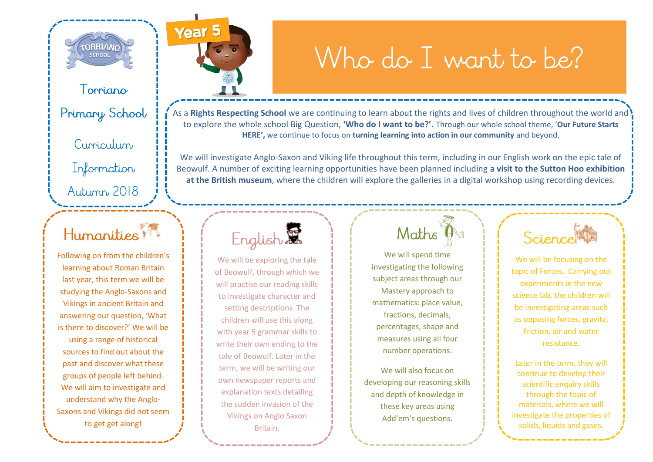

Torriano

Primary School

Curriculum

Information Autumn 2018

#### Humanities !!

Following on from the children's learning about Roman Britain last year, this term we will be studying the Anglo-Saxons and Vikings in ancient Britain and answering our question, 'What is there to discover?' We will be using a range of historical sources to find out about the past and discover what these groups of people left behind. We will aim to investigate and understand why the Anglo-Saxons and Vikings did not seem to get get along!

Year<sub>5</sub>

# Who do I want to be?

As a **Rights Respecting School** we are continuing to learn about the rights and lives of children throughout the world and to explore the whole school Big Question, **'Who do I want to be?'.** Through our whole school theme, '**Our Future Starts HERE',** we continue to focus on **turning learning into action in our community** and beyond.

We will investigate Anglo-Saxon and Viking life throughout this term, including in our English work on the epic tale of Beowulf. A number of exciting learning opportunities have been planned including **a visit to the Sutton Hoo exhibition at the British museum**, where the children will explore the galleries in a digital workshop using recording devices.

## English

We will be exploring the tale of Beowulf, through which we will practise our reading skills to investigate character and setting descriptions. The children will use this along with year 5 grammar skills to write their own ending to the tale of Beowulf. Later in the term, we will be writing our own newspaper reports and explanation texts detailing the sudden invasion of the Vikings on Anglo Saxon Britain.

#### Maths<sup>1</sup>

We will spend time investigating the following subject areas through our Mastery approach to mathematics: place value, fractions, decimals, percentages, shape and measures using all four number operations.

We will also focus on developing our reasoning skills and depth of knowledge in these key areas using Add'em's questions.

#### Science

We will be focusing on the topic of Forces. Carrying out experiments in the new science lab, the children will be investigating areas such as opposing forces, gravity, friction, air and water resistance.

Later in the term, they will continue to develop their scientific enquiry skills through the topic of materials, where we will investigate the properties of solids, liquids and gases.